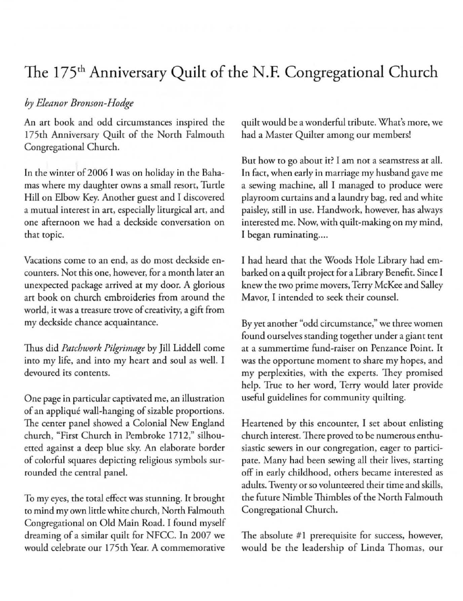## The 175<sup>th</sup> Anniversary Quilt of the N.F. Congregational Church

## *by Eleanor Bronson-Hodge*

An art book and odd circumstances inspired the 175th Anniversary Quilt of the North Falmouth Congregational Church.

In the winter of 2006 I was on holiday in the Bahamas where my daughter owns a small resort, Turrle Hill on Elbow Key. Another guest and I discovered **a mutual interest in art, especially liturgical an, and one afternoon we had a** decks ide **conversation on**  that topic.

Vacations come to an end, as do most deckside en**counters. Not this one, however, for a month later an**  unexpected package arrived at my door. A glorious art book on church embroideries from around the **world, it was a treasure trove of creativity. a gift from**  my deckside chance acquaintance.

Thus did *Patchwork Pilgrimage* by Jill Liddell come into my life, and inro my heart and soul as well. I **devoured its contents.** 

**One page in particular caprivared me, an illustration**  of an applique wall-hanging of sizable proportions. The center panel showed a Colonial New England church, "First Church in Pembroke 1712," silhouetted against a deep blue sky. An elaborate border of colorful squares depicting religious symbols surrounded the central panel.

To my eyes, the total effect was stunning. It brought to mind my own little white church, North Falmouth Congregational on Old Main Road. I found myself dreaming of a similar quilt for NFCC. In 2007 we would celebrate our 175th Year. A commemorative quilt would be a wonderful rribute. What's more, we had a Master Quilter among our members!

**But how to go about it? I am not a seamstress at all.**  In fact, when early in marriage my husband gave me a sewing machine, all I managed ro produce were playroom curtains and a laundry bag, red and white paisley, still in use. Handwork, however, has always interested me. Now, with quilt-making on my mind, I began ruminating....

I had heard (hat the Woods Hole Library had embarked on a quilt project for a Library Benefir. Since I knew (he two prime movers, Terry McKee and Salley **Mavor) 1 intended to seek their counsel.** 

By yet another "odd circumstance," we three women found ourselves standing together under a giant tent at a summertime fund-raiser on Penzance Point. It was the opportune moment to share my hopes, and my perplexities, with the experts. They promised help. True ro her word, Terry would later provide useful guidelines for community quilting.

Heartened by this encounter, I set about enlisting church interest. There proved to be numerous enthusiastic sewers in our congregation, eager to participate. Many had been sewing all their lives, starting off in early childhood, others became interested as adults. Twenty or so volunteered their time and skills, the future Nimble Thimbles of the North Falmouth Congregational Church.

The absolute #1 prerequisite for success, however, would be the leadership of Linda Thomas, our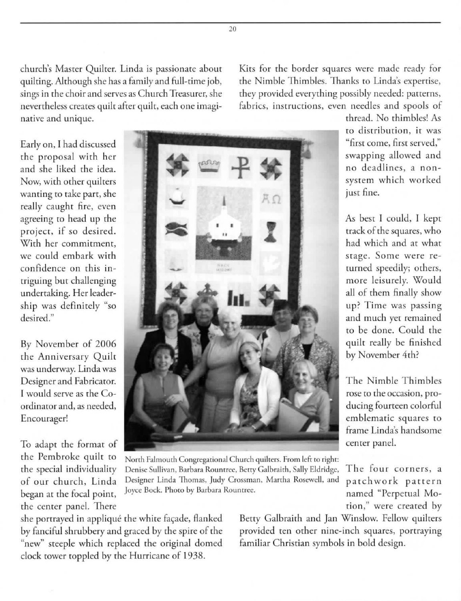church's Master Quilter. Linda is passionate about quilting. Although she has a family and full-time job, **sings in the choir and serves as Church Treasurer, she nevertheless creates quilt after quilt, each one imaginative and unique.** 

Kits for the border squares were made ready for the Nimble Thimbles. Thanks to Linda's expertise, they provided everything possibly needed: patterns, fabrics, instructions, even needles and spools of

Early on, I had discussed the proposal with her and she liked the idea. **Now, with other quilrers**  wanting to take part, she really caught fire, even agreeing to head up the project, if so desired. **With her commitment,**  we could embark with **confidence on this intr iguing bur challenging**  undertaking. Her leadership was definitely "so **desired."** 

By November of 2006 the Anniversary Quilt **was underway. Linda was Designer and Fabricator.**  I would serve as the Co**ordinator and, as needed, Encourager!** 

the Pembroke quilt to the special individuality of our church. Linda began at the focal point, the center panel. There



North Falmouth Congregational Church quilters. From left to right: Denise Sullivan, Barbara Rountree, Betty Galbraith, Sally Eldridge, Designer Linda Thomas, Judy Crossman, Martha Rosewell, and **Joyce Bock. Photo by Barbara Rounrree.** 

she portrayed in appliqué the white façade, flanked by fanciful shrubbery and graced by the spire of the "new" steeple which replaced the original domed clock tower toppled by the Hurricane of 1938.

Betty Galbraith and Jan Winslow. Fellow quilters **provided ten other nine-inch squares, portraying**  familiar Christian symbols in bold design.

thread. No thimbles' As **to distr ibutio n, it was "first come, first served,"**  swapping allowed and no deadlines, a nonsystem which worked **juSt fine.** 

As best I could, I kept **track of the squares, who**  had which and at what stage. Some were returned speedily; others, more leisurely. Would all of them finally show **up**? Time was passing **and much yet remained**  to be done. Could the quilt really be finished by November 4th?

The Nimble Thimbles **rose to the occasion, pro**ducing fourteen colorful emblematic squares to **frame linda's handsome** 

The four corners, a **pa t c hw o rk pa tt e rn**  named "Perpetual Motion," were created by

20